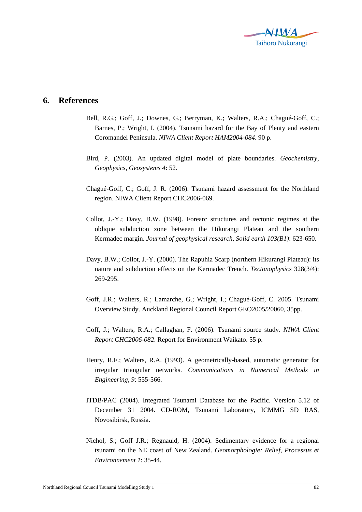

## **6. References**

- Bell, R.G.; Goff, J.; Downes, G.; Berryman, K.; Walters, R.A.; Chagué-Goff, C.; Barnes, P.; Wright, I. (2004). Tsunami hazard for the Bay of Plenty and eastern Coromandel Peninsula. *NIWA Client Report HAM2004-084*. 90 p.
- Bird, P. (2003). An updated digital model of plate boundaries. *Geochemistry, Geophysics, Geosystems 4*: 52.
- Chagué-Goff, C.; Goff, J. R. (2006). Tsunami hazard assessment for the Northland region. NIWA Client Report CHC2006-069.
- Collot, J.-Y.; Davy, B.W. (1998). Forearc structures and tectonic regimes at the oblique subduction zone between the Hikurangi Plateau and the southern Kermadec margin. *Journal of geophysical research, Solid earth 103(B1)*: 623-650.
- Davy, B.W.; Collot, J.-Y. (2000). The Rapuhia Scarp (northern Hikurangi Plateau): its nature and subduction effects on the Kermadec Trench. *Tectonophysics* 328(3/4): 269-295.
- Goff, J.R.; Walters, R.; Lamarche, G.; Wright, I.; Chagué-Goff, C. 2005. Tsunami Overview Study. Auckland Regional Council Report GEO2005/20060, 35pp.
- Goff, J.; Walters, R.A.; Callaghan, F. (2006). Tsunami source study. *NIWA Client Report CHC2006-082*. Report for Environment Waikato. 55 p.
- Henry, R.F.; Walters, R.A. (1993). A geometrically-based, automatic generator for irregular triangular networks. *Communications in Numerical Methods in Engineering, 9*: 555-566.
- ITDB/PAC (2004). Integrated Tsunami Database for the Pacific. Version 5.12 of December 31 2004. CD-ROM, Tsunami Laboratory, ICMMG SD RAS, Novosibirsk, Russia.
- Nichol, S.; Goff J.R.; Regnauld, H. (2004). Sedimentary evidence for a regional tsunami on the NE coast of New Zealand. *Geomorphologie: Relief, Processus et Environnement 1*: 35-44.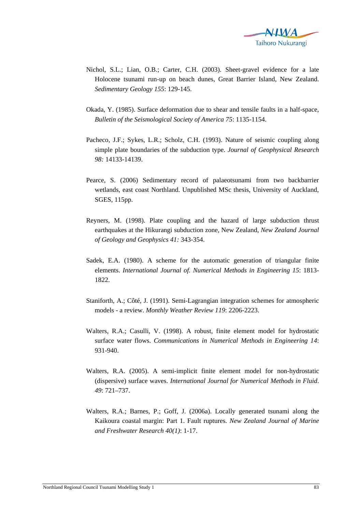

- Nichol, S.L.; Lian, O.B.; Carter, C.H. (2003). Sheet-gravel evidence for a late Holocene tsunami run-up on beach dunes, Great Barrier Island, New Zealand. *Sedimentary Geology 155*: 129-145.
- Okada, Y. (1985). Surface deformation due to shear and tensile faults in a half-space, *Bulletin of the Seismological Society of America 75*: 1135-1154.
- Pacheco, J.F.; Sykes, L.R.; Scholz, C.H. (1993). Nature of seismic coupling along simple plate boundaries of the subduction type. *Journal of Geophysical Research 98:* 14133-14139.
- Pearce, S. (2006) Sedimentary record of palaeotsunami from two backbarrier wetlands, east coast Northland. Unpublished MSc thesis, University of Auckland, SGES, 115pp.
- Reyners, M. (1998). Plate coupling and the hazard of large subduction thrust earthquakes at the Hikurangi subduction zone, New Zealand, *New Zealand Journal of Geology and Geophysics 41:* 343-354.
- Sadek, E.A. (1980). A scheme for the automatic generation of triangular finite elements. *International Journal of. Numerical Methods in Engineering 15*: 1813- 1822.
- Staniforth, A.; Côté, J. (1991). Semi-Lagrangian integration schemes for atmospheric models - a review. *Monthly Weather Review 119*: 2206-2223.
- Walters, R.A.; Casulli, V. (1998). A robust, finite element model for hydrostatic surface water flows. *Communications in Numerical Methods in Engineering 14*: 931-940.
- Walters, R.A. (2005). A semi-implicit finite element model for non-hydrostatic (dispersive) surface waves. *International Journal for Numerical Methods in Fluid*. *49*: 721–737.
- Walters, R.A.; Barnes, P.; Goff, J. (2006a). Locally generated tsunami along the Kaikoura coastal margin: Part 1. Fault ruptures. *New Zealand Journal of Marine and Freshwater Research 40(1)*: 1-17.